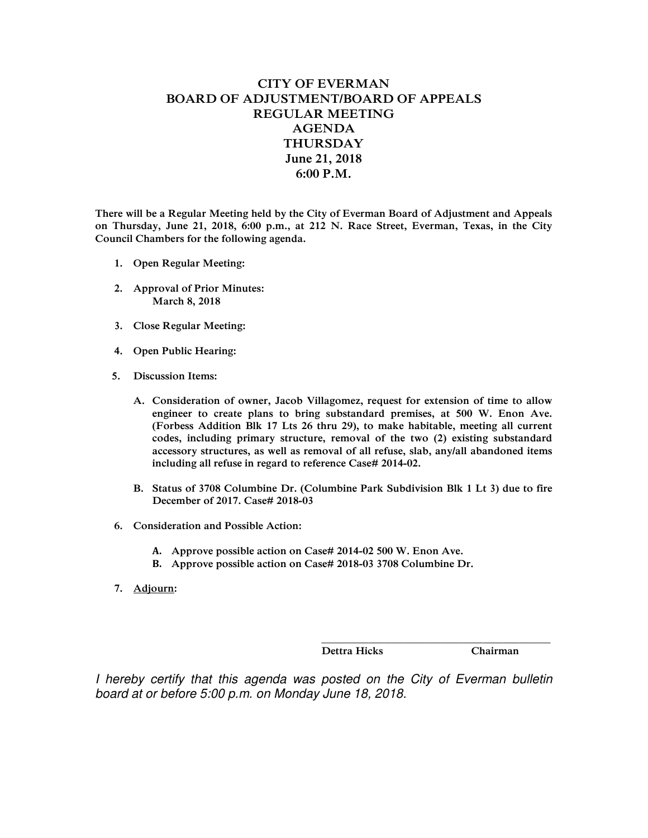## **CITY OF EVERMAN BOARD OF ADJUSTMENT/BOARD OF APPEALS REGULAR MEETING AGENDA THURSDAY June 21, 2018 6:00 P.M.**

**There will be a Regular Meeting held by the City of Everman Board of Adjustment and Appeals on Thursday, June 21, 2018, 6:00 p.m., at 212 N. Race Street, Everman, Texas, in the City Council Chambers for the following agenda.** 

- **1. Open Regular Meeting:**
- **2. Approval of Prior Minutes: March 8, 2018**
- **3. Close Regular Meeting:**
- **4. Open Public Hearing:**
- **5. Discussion Items:** 
	- **A. Consideration of owner, Jacob Villagomez, request for extension of time to allow engineer to create plans to bring substandard premises, at 500 W. Enon Ave. (Forbess Addition Blk 17 Lts 26 thru 29), to make habitable, meeting all current codes, including primary structure, removal of the two (2) existing substandard accessory structures, as well as removal of all refuse, slab, any/all abandoned items including all refuse in regard to reference Case# 2014-02.**
	- **B. Status of 3708 Columbine Dr. (Columbine Park Subdivision Blk 1 Lt 3) due to fire December of 2017. Case# 2018-03**
- **6. Consideration and Possible Action:** 
	- **A. Approve possible action on Case# 2014-02 500 W. Enon Ave.**
	- **B. Approve possible action on Case# 2018-03 3708 Columbine Dr.**
- **7. Adjourn:**

 **Dettra Hicks Chairman** 

*I hereby certify that this agenda was posted on the City of Everman bulletin board at or before 5:00 p.m. on Monday June 18, 2018.* 

 **\_\_\_\_\_\_\_\_\_\_\_\_\_\_\_\_\_\_\_\_\_\_\_\_\_\_\_\_\_\_\_\_\_\_\_\_\_\_\_\_\_\_\_\_**